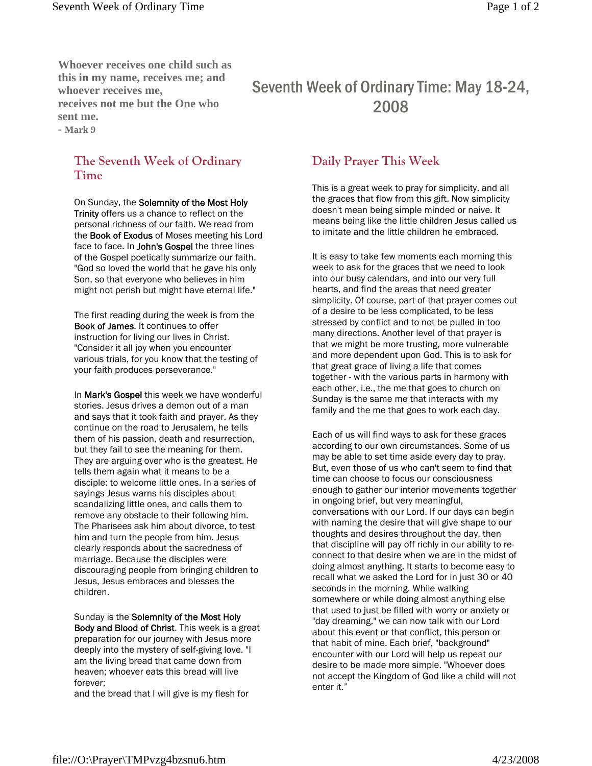**Whoever receives one child such as this in my name, receives me; and whoever receives me, receives not me but the One who sent me. - Mark 9**

## **The Seventh Week of Ordinary Time**

On Sunday, the Solemnity of the Most Holy Trinity offers us a chance to reflect on the personal richness of our faith. We read from the **Book of Exodus** of Moses meeting his Lord face to face. In John's Gospel the three lines of the Gospel poetically summarize our faith. "God so loved the world that he gave his only Son, so that everyone who believes in him might not perish but might have eternal life."

The first reading during the week is from the Book of James. It continues to offer instruction for living our lives in Christ. "Consider it all joy when you encounter various trials, for you know that the testing of your faith produces perseverance."

In Mark's Gospel this week we have wonderful stories. Jesus drives a demon out of a man and says that it took faith and prayer. As they continue on the road to Jerusalem, he tells them of his passion, death and resurrection, but they fail to see the meaning for them. They are arguing over who is the greatest. He tells them again what it means to be a disciple: to welcome little ones. In a series of sayings Jesus warns his disciples about scandalizing little ones, and calls them to remove any obstacle to their following him. The Pharisees ask him about divorce, to test him and turn the people from him. Jesus clearly responds about the sacredness of marriage. Because the disciples were discouraging people from bringing children to Jesus, Jesus embraces and blesses the children.

Sunday is the Solemnity of the Most Holy Body and Blood of Christ. This week is a great preparation for our journey with Jesus more deeply into the mystery of self-giving love. "I am the living bread that came down from heaven; whoever eats this bread will live forever;

and the bread that I will give is my flesh for

## Seventh Week of Ordinary Time: May 18-24, 2008

## **Daily Prayer This Week**

This is a great week to pray for simplicity, and all the graces that flow from this gift. Now simplicity doesn't mean being simple minded or naive. It means being like the little children Jesus called us to imitate and the little children he embraced.

It is easy to take few moments each morning this week to ask for the graces that we need to look into our busy calendars, and into our very full hearts, and find the areas that need greater simplicity. Of course, part of that prayer comes out of a desire to be less complicated, to be less stressed by conflict and to not be pulled in too many directions. Another level of that prayer is that we might be more trusting, more vulnerable and more dependent upon God. This is to ask for that great grace of living a life that comes together - with the various parts in harmony with each other, i.e., the me that goes to church on Sunday is the same me that interacts with my family and the me that goes to work each day.

Each of us will find ways to ask for these graces according to our own circumstances. Some of us may be able to set time aside every day to pray. But, even those of us who can't seem to find that time can choose to focus our consciousness enough to gather our interior movements together in ongoing brief, but very meaningful, conversations with our Lord. If our days can begin with naming the desire that will give shape to our thoughts and desires throughout the day, then that discipline will pay off richly in our ability to reconnect to that desire when we are in the midst of doing almost anything. It starts to become easy to recall what we asked the Lord for in just 30 or 40 seconds in the morning. While walking somewhere or while doing almost anything else that used to just be filled with worry or anxiety or "day dreaming," we can now talk with our Lord about this event or that conflict, this person or that habit of mine. Each brief, "background" encounter with our Lord will help us repeat our desire to be made more simple. "Whoever does not accept the Kingdom of God like a child will not enter it."